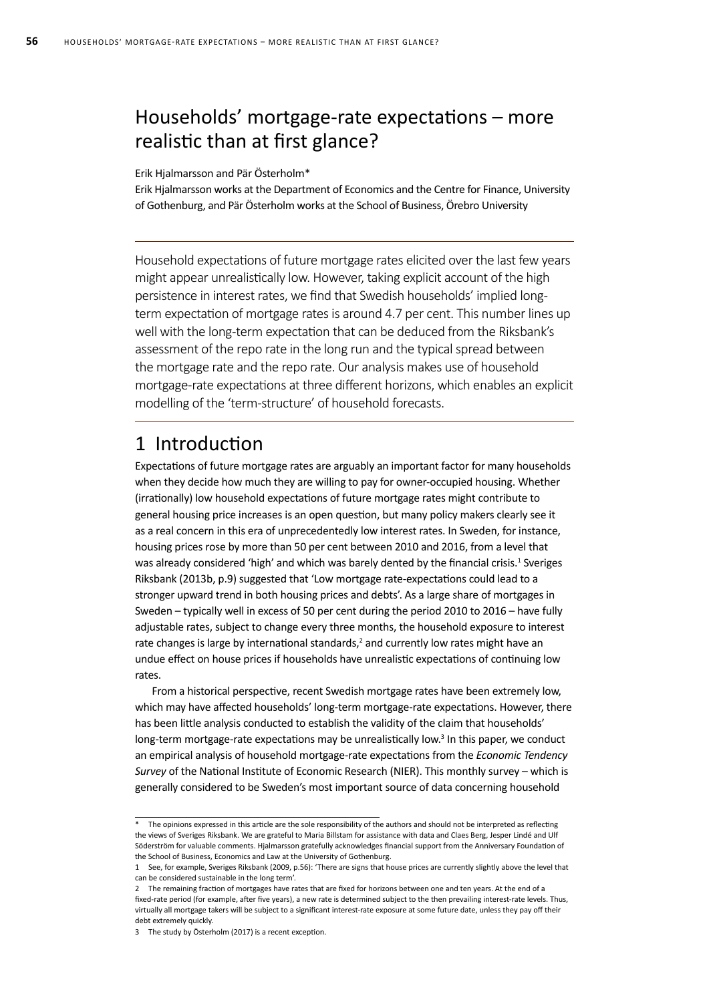# Households' mortgage-rate expectations – more realistic than at first glance?

Erik Hjalmarsson and Pär Österholm\*

Erik Hjalmarsson works at the Department of Economics and the Centre for Finance, University of Gothenburg, and Pär Österholm works at the School of Business, Örebro University

Household expectations of future mortgage rates elicited over the last few years might appear unrealistically low. However, taking explicit account of the high persistence in interest rates, we find that Swedish households' implied longterm expectation of mortgage rates is around 4.7 per cent. This number lines up well with the long-term expectation that can be deduced from the Riksbank's assessment of the repo rate in the long run and the typical spread between the mortgage rate and the repo rate. Our analysis makes use of household mortgage-rate expectations at three different horizons, which enables an explicit modelling of the 'term-structure' of household forecasts.

### 1 Introduction

Expectations of future mortgage rates are arguably an important factor for many households when they decide how much they are willing to pay for owner-occupied housing. Whether (irrationally) low household expectations of future mortgage rates might contribute to general housing price increases is an open question, but many policy makers clearly see it as a real concern in this era of unprecedentedly low interest rates. In Sweden, for instance, housing prices rose by more than 50 per cent between 2010 and 2016, from a level that was already considered 'high' and which was barely dented by the financial crisis.<sup>1</sup> Sveriges Riksbank (2013b, p.9) suggested that 'Low mortgage rate-expectations could lead to a stronger upward trend in both housing prices and debts'. As a large share of mortgages in Sweden – typically well in excess of 50 per cent during the period 2010 to 2016 – have fully adjustable rates, subject to change every three months, the household exposure to interest rate changes is large by international standards,<sup>2</sup> and currently low rates might have an undue effect on house prices if households have unrealistic expectations of continuing low rates.

From a historical perspective, recent Swedish mortgage rates have been extremely low, which may have affected households' long-term mortgage-rate expectations. However, there has been little analysis conducted to establish the validity of the claim that households' long-term mortgage-rate expectations may be unrealistically low.<sup>3</sup> In this paper, we conduct an empirical analysis of household mortgage-rate expectations from the *Economic Tendency Survey* of the National Institute of Economic Research (NIER). This monthly survey – which is generally considered to be Sweden's most important source of data concerning household

The opinions expressed in this article are the sole responsibility of the authors and should not be interpreted as reflecting the views of Sveriges Riksbank. We are grateful to Maria Billstam for assistance with data and Claes Berg, Jesper Lindé and Ulf Söderström for valuable comments. Hialmarsson gratefully acknowledges financial support from the Anniversary Foundation of the School of Business, Economics and Law at the University of Gothenburg.

<sup>1</sup> See, for example, Sveriges Riksbank (2009, p.56): 'There are signs that house prices are currently slightly above the level that can be considered sustainable in the long term'.

<sup>2</sup> The remaining fraction of mortgages have rates that are fixed for horizons between one and ten years. At the end of a fixed-rate period (for example, after five years), a new rate is determined subject to the then prevailing interest-rate levels. Thus, virtually all mortgage takers will be subject to a significant interest-rate exposure at some future date, unless they pay off their debt extremely quickly.

<sup>3</sup> The study by Österholm (2017) is a recent exception.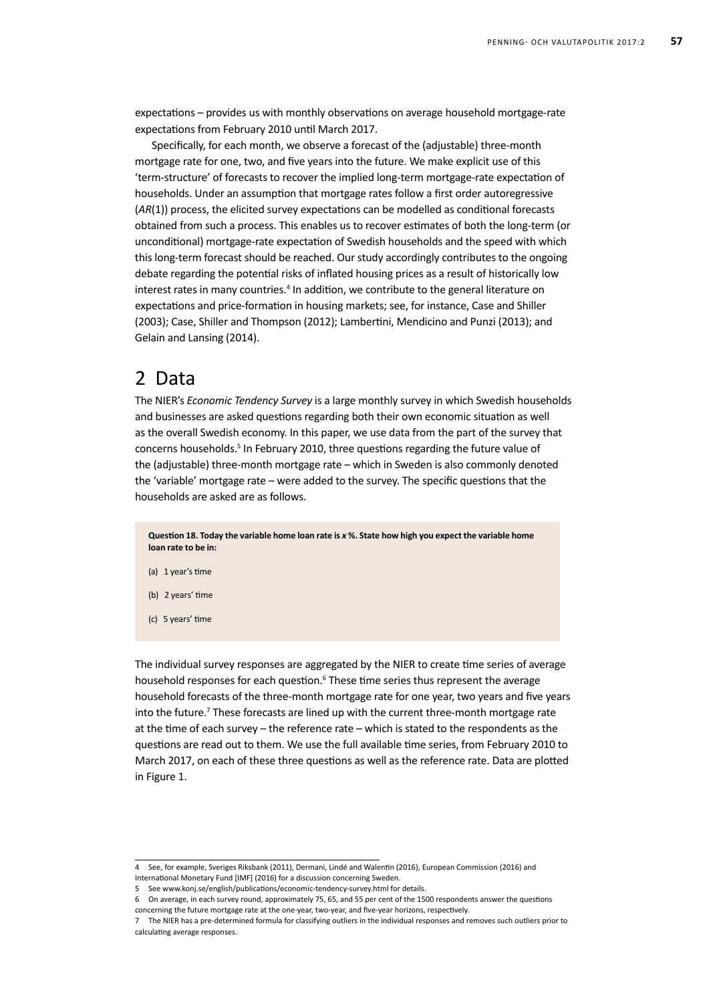expectations – provides us with monthly observations on average household mortgage-rate expectations from February 2010 until March 2017.

Specifically, for each month, we observe a forecast of the (adjustable) three-month mortgage rate for one, two, and five years into the future. We make explicit use of this 'term-structure' of forecasts to recover the implied long-term mortgage-rate expectation of households. Under an assumption that mortgage rates follow a first order autoregressive (*AR*(1)) process, the elicited survey expectations can be modelled as conditional forecasts obtained from such a process. This enables us to recover estimates of both the long-term (or unconditional) mortgage-rate expectation of Swedish households and the speed with which this long-term forecast should be reached. Our study accordingly contributes to the ongoing debate regarding the potential risks of inflated housing prices as a result of historically low interest rates in many countries.<sup>4</sup> In addition, we contribute to the general literature on expectations and price-formation in housing markets; see, for instance, Case and Shiller (2003); Case, Shiller and Thompson (2012); Lambertini, Mendicino and Punzi (2013); and Gelain and Lansing (2014).

#### 2 Data

The NIER's *Economic Tendency Survey* is a large monthly survey in which Swedish households and businesses are asked questions regarding both their own economic situation as well as the overall Swedish economy. In this paper, we use data from the part of the survey that concerns households.<sup>5</sup> In February 2010, three questions regarding the future value of the (adjustable) three-month mortgage rate – which in Sweden is also commonly denoted the 'variable' mortgage rate – were added to the survey. The specific questions that the households are asked are as follows.

**Question 18. Today the variable home loan rate is** *x* **%. State how high you expect the variable home loan rate to be in:**

- (a) 1 year's time
- (b) 2 years' time
- (c) 5 years' time

The individual survey responses are aggregated by the NIER to create time series of average household responses for each question.<sup>6</sup> These time series thus represent the average household forecasts of the three-month mortgage rate for one year, two years and five years into the future.<sup>7</sup> These forecasts are lined up with the current three-month mortgage rate at the time of each survey – the reference rate – which is stated to the respondents as the questions are read out to them. We use the full available time series, from February 2010 to March 2017, on each of these three questions as well as the reference rate. Data are plotted in Figure 1.

<sup>4</sup> See, for example, Sveriges Riksbank (2011), Dermani, Lindé and Walentin (2016), European Commission (2016) and

International Monetary Fund [IMF] (2016) for a discussion concerning Sweden.

<sup>5</sup> See www.konj.se/english/publications/economic-tendency-survey.html for details.

<sup>6</sup> On average, in each survey round, approximately 75, 65, and 55 per cent of the 1500 respondents answer the questions

concerning the future mortgage rate at the one-year, two-year, and five-year horizons, respectively.

<sup>7</sup> The NIER has a pre-determined formula for classifying outliers in the individual responses and removes such outliers prior to calculating average responses.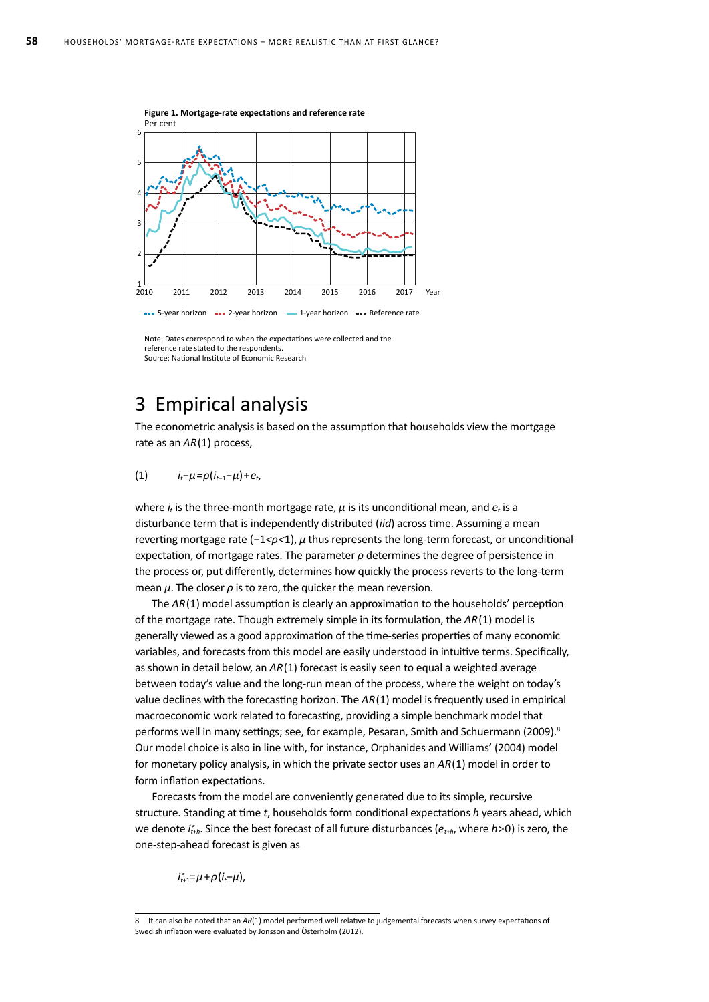

Note. Dates correspond to when the expectations were collected and the reference rate stated to the respondents. Source: National Institute of Economic Research

## 3 Empirical analysis

The econometric analysis is based on the assumption that households view the mortgage rate as an *AR*(1) process,

#### (1)  $i_t - \mu = \rho(i_{t-1} - \mu) + e_t$

where  $i_t$  is the three-month mortgage rate,  $\mu$  is its unconditional mean, and  $e_t$  is a disturbance term that is independently distributed (*iid*) across time. Assuming a mean reverting mortgage rate (*−*1*<ρ<*1), *μ* thus represents the long-term forecast, or unconditional expectation, of mortgage rates. The parameter *ρ* determines the degree of persistence in the process or, put differently, determines how quickly the process reverts to the long-term mean *μ*. The closer *ρ* is to zero, the quicker the mean reversion.

The *AR*(1) model assumption is clearly an approximation to the households' perception of the mortgage rate. Though extremely simple in its formulation, the *AR*(1) model is generally viewed as a good approximation of the time-series properties of many economic variables, and forecasts from this model are easily understood in intuitive terms. Specifically, as shown in detail below, an *AR*(1) forecast is easily seen to equal a weighted average between today's value and the long-run mean of the process, where the weight on today's value declines with the forecasting horizon. The *AR*(1) model is frequently used in empirical macroeconomic work related to forecasting, providing a simple benchmark model that performs well in many settings; see, for example, Pesaran, Smith and Schuermann (2009).<sup>8</sup> Our model choice is also in line with, for instance, Orphanides and Williams' (2004) model for monetary policy analysis, in which the private sector uses an *AR*(1) model in order to form inflation expectations.

Forecasts from the model are conveniently generated due to its simple, recursive structure. Standing at time *t*, households form conditional expectations *h* years ahead, which we denote *i*<sub>t+</sub><sub>h</sub>. Since the best forecast of all future disturbances ( $e_{t+h}$ , where *h*>0) is zero, the one-step-ahead forecast is given as

*i*<sup>*e*</sup><sub>*t*+1</sub>=*μ* +*ρ*(*i<sub>t</sub>*−*μ*),

<sup>8</sup> It can also be noted that an *AR*(1) model performed well relative to judgemental forecasts when survey expectations of Swedish inflation were evaluated by Jonsson and Österholm (2012).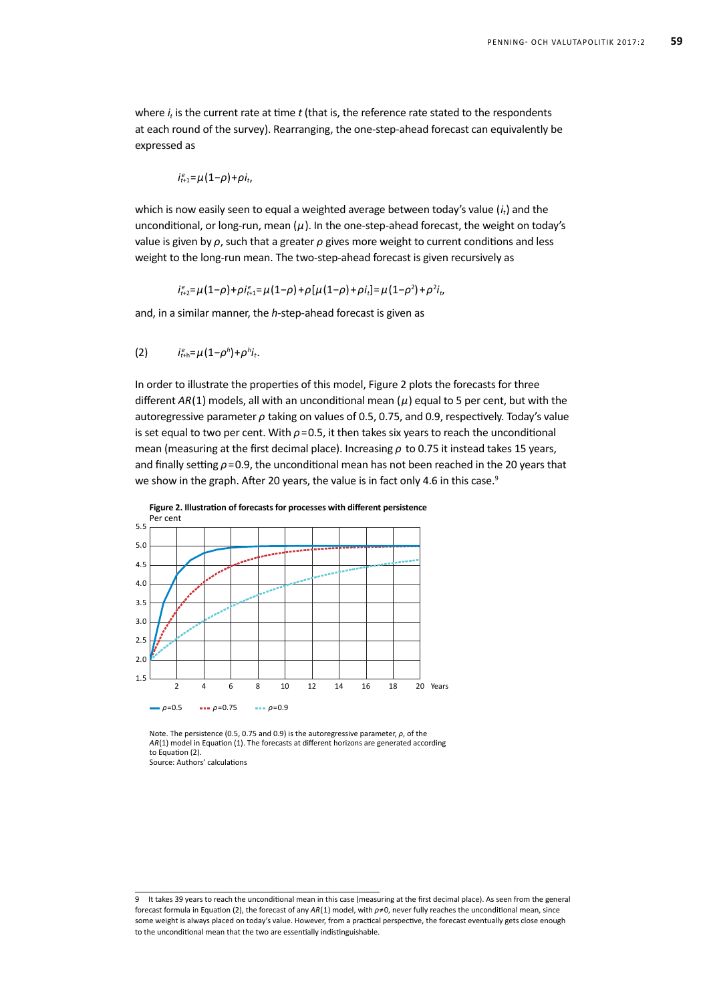where  $i<sub>t</sub>$  is the current rate at time *t* (that is, the reference rate stated to the respondents at each round of the survey). Rearranging, the one-step-ahead forecast can equivalently be expressed as

$$
i_{t+1}^e = \mu(1-\rho) + \rho i_t
$$

which is now easily seen to equal a weighted average between today's value (i<sub>t</sub>) and the unconditional, or long-run, mean (*μ*). In the one-step-ahead forecast, the weight on today's value is given by *ρ*, such that a greater *ρ* gives more weight to current conditions and less weight to the long-run mean. The two-step-ahead forecast is given recursively as

*i*<sup>e</sup><sub>*t*+2</sub>=μ(1−ρ)+ρi<sub>t+1</sub>=μ(1−ρ)+ρ[μ(1−ρ)+ρi<sub>t</sub>]=μ(1−ρ<sup>2</sup>)+ρ<sup>2</sup>i<sub>t</sub>,

and, in a similar manner, the *h*-step-ahead forecast is given as

(2) 
$$
i_{t+h}^e = \mu (1 - \rho^h) + \rho^h i_t
$$
.

In order to illustrate the properties of this model, Figure 2 plots the forecasts for three different *AR*(1) models, all with an unconditional mean (*μ*) equal to 5 per cent, but with the autoregressive parameter *ρ* taking on values of 0.5, 0.75, and 0.9, respectively. Today's value is set equal to two per cent. With  $\rho$ =0.5, it then takes six years to reach the unconditional mean (measuring at the first decimal place). Increasing *ρ* to 0.75 it instead takes 15 years, and finally setting *ρ*=0.9, the unconditional mean has not been reached in the 20 years that we show in the graph. After 20 years, the value is in fact only 4.6 in this case.<sup>9</sup>



Note. The persistence (0.5, 0.75 and 0.9) is the autoregressive parameter, *ρ*, of the *AR*(1) model in Equation (1). The forecasts at different horizons are generated according to Equation (2). Source: Authors' calculations

<sup>9</sup> It takes 39 years to reach the unconditional mean in this case (measuring at the first decimal place). As seen from the general forecast formula in Equation (2), the forecast of any *AR*(1) model, with *ρ*≠0, never fully reaches the unconditional mean, since some weight is always placed on today's value. However, from a practical perspective, the forecast eventually gets close enough to the unconditional mean that the two are essentially indistinguishable.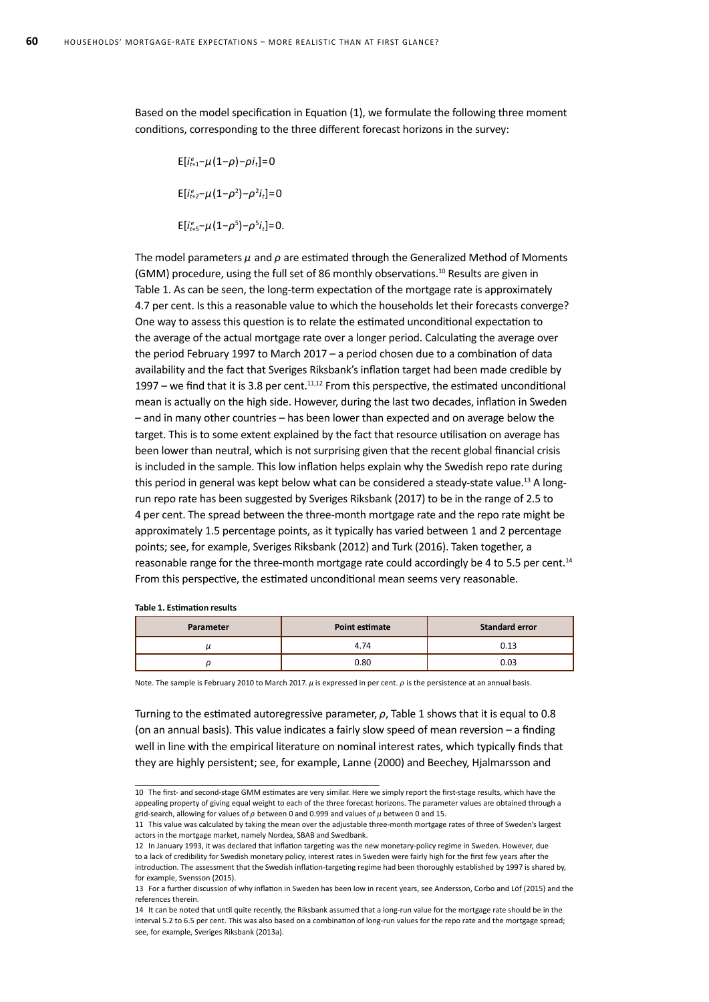Based on the model specification in Equation (1), we formulate the following three moment conditions, corresponding to the three different forecast horizons in the survey:

 $E[i_{t+1}^e - \mu(1-\rho) - \rho i_t] = 0$  $E[i_{t+2}^e - \mu(1-\rho^2) - \rho^2 i_t] = 0$  $E[i^{e}_{t+5}-\mu(1-\rho^5)-\rho^5 i_t]=0.$ 

The model parameters *μ* and *ρ* are estimated through the Generalized Method of Moments (GMM) procedure, using the full set of 86 monthly observations.<sup>10</sup> Results are given in Table 1. As can be seen, the long-term expectation of the mortgage rate is approximately 4.7 per cent. Is this a reasonable value to which the households let their forecasts converge? One way to assess this question is to relate the estimated unconditional expectation to the average of the actual mortgage rate over a longer period. Calculating the average over the period February 1997 to March 2017 – a period chosen due to a combination of data availability and the fact that Sveriges Riksbank's inflation target had been made credible by 1997 – we find that it is 3.8 per cent.<sup>11,12</sup> From this perspective, the estimated unconditional mean is actually on the high side. However, during the last two decades, inflation in Sweden – and in many other countries – has been lower than expected and on average below the target. This is to some extent explained by the fact that resource utilisation on average has been lower than neutral, which is not surprising given that the recent global financial crisis is included in the sample. This low inflation helps explain why the Swedish repo rate during this period in general was kept below what can be considered a steady-state value.<sup>13</sup> A longrun repo rate has been suggested by Sveriges Riksbank (2017) to be in the range of 2.5 to 4 per cent. The spread between the three-month mortgage rate and the repo rate might be approximately 1.5 percentage points, as it typically has varied between 1 and 2 percentage points; see, for example, Sveriges Riksbank (2012) and Turk (2016). Taken together, a reasonable range for the three-month mortgage rate could accordingly be 4 to 5.5 per cent.<sup>14</sup> From this perspective, the estimated unconditional mean seems very reasonable.

**Table 1. Estimation results**

| Parameter | Point estimate | <b>Standard error</b> |
|-----------|----------------|-----------------------|
|           | 4.74           | 0.13                  |
|           | 0.80           | 0.03                  |

Note. The sample is February 2010 to March 2017.  $\mu$  is expressed in per cent.  $\rho$  is the persistence at an annual basis.

Turning to the estimated autoregressive parameter, *ρ*, Table 1 shows that it is equal to 0.8 (on an annual basis). This value indicates a fairly slow speed of mean reversion – a finding well in line with the empirical literature on nominal interest rates, which typically finds that they are highly persistent; see, for example, Lanne (2000) and Beechey, Hjalmarsson and

<sup>10</sup> The first- and second-stage GMM estimates are very similar. Here we simply report the first-stage results, which have the appealing property of giving equal weight to each of the three forecast horizons. The parameter values are obtained through a grid-search, allowing for values of *ρ* between 0 and 0.999 and values of *μ* between 0 and 15.

<sup>11</sup> This value was calculated by taking the mean over the adjustable three-month mortgage rates of three of Sweden's largest actors in the mortgage market, namely Nordea, SBAB and Swedbank.

<sup>12</sup> In January 1993, it was declared that inflation targeting was the new monetary-policy regime in Sweden. However, due to a lack of credibility for Swedish monetary policy, interest rates in Sweden were fairly high for the first few years after the introduction. The assessment that the Swedish inflation-targeting regime had been thoroughly established by 1997 is shared by, for example, Svensson (2015).

<sup>13</sup> For a further discussion of why inflation in Sweden has been low in recent years, see Andersson, Corbo and Löf (2015) and the references therein.

<sup>14</sup> It can be noted that until quite recently, the Riksbank assumed that a long-run value for the mortgage rate should be in the interval 5.2 to 6.5 per cent. This was also based on a combination of long-run values for the repo rate and the mortgage spread; see, for example, Sveriges Riksbank (2013a).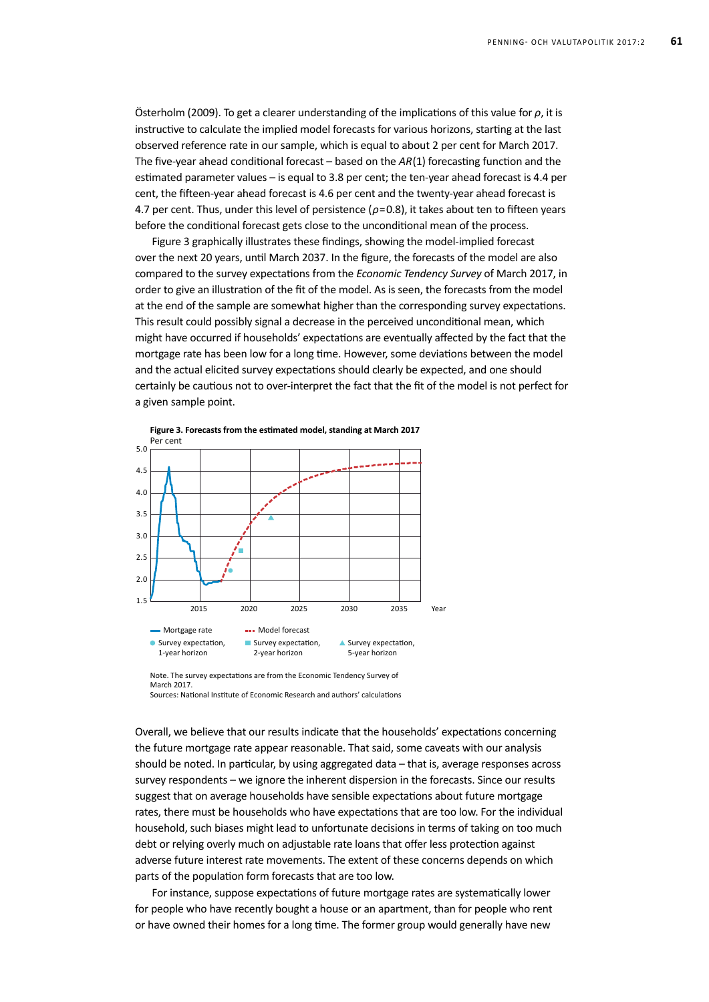Österholm (2009). To get a clearer understanding of the implications of this value for *ρ*, it is instructive to calculate the implied model forecasts for various horizons, starting at the last observed reference rate in our sample, which is equal to about 2 per cent for March 2017. The five-year ahead conditional forecast – based on the *AR*(1) forecasting function and the estimated parameter values – is equal to 3.8 per cent; the ten-year ahead forecast is 4.4 per cent, the fifteen-year ahead forecast is 4.6 per cent and the twenty-year ahead forecast is 4.7 per cent. Thus, under this level of persistence (*ρ*=0.8), it takes about ten to fifteen years before the conditional forecast gets close to the unconditional mean of the process.

Figure 3 graphically illustrates these findings, showing the model-implied forecast over the next 20 years, until March 2037. In the figure, the forecasts of the model are also compared to the survey expectations from the *Economic Tendency Survey* of March 2017, in order to give an illustration of the fit of the model. As is seen, the forecasts from the model at the end of the sample are somewhat higher than the corresponding survey expectations. This result could possibly signal a decrease in the perceived unconditional mean, which might have occurred if households' expectations are eventually affected by the fact that the mortgage rate has been low for a long time. However, some deviations between the model and the actual elicited survey expectations should clearly be expected, and one should certainly be cautious not to over-interpret the fact that the fit of the model is not perfect for a given sample point.



Note. The survey expectations are from the Economic Tendency Survey of March 2017. Sources: National Institute of Economic Research and authors' calculations

Overall, we believe that our results indicate that the households' expectations concerning the future mortgage rate appear reasonable. That said, some caveats with our analysis should be noted. In particular, by using aggregated data – that is, average responses across survey respondents – we ignore the inherent dispersion in the forecasts. Since our results suggest that on average households have sensible expectations about future mortgage rates, there must be households who have expectations that are too low. For the individual household, such biases might lead to unfortunate decisions in terms of taking on too much debt or relying overly much on adjustable rate loans that offer less protection against adverse future interest rate movements. The extent of these concerns depends on which parts of the population form forecasts that are too low.

For instance, suppose expectations of future mortgage rates are systematically lower for people who have recently bought a house or an apartment, than for people who rent or have owned their homes for a long time. The former group would generally have new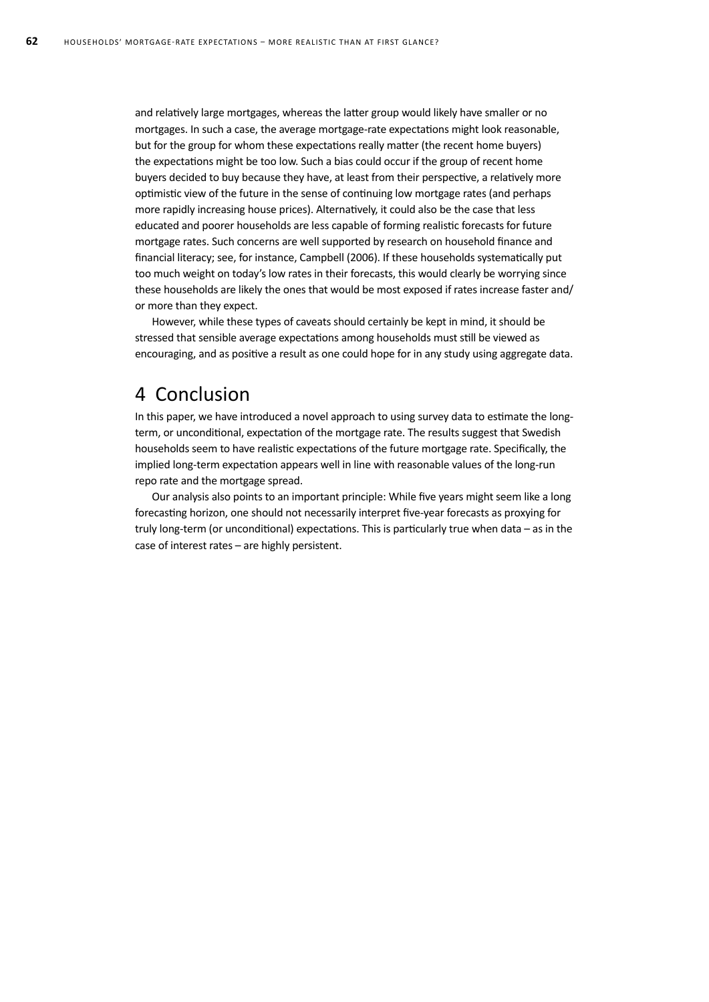and relatively large mortgages, whereas the latter group would likely have smaller or no mortgages. In such a case, the average mortgage-rate expectations might look reasonable, but for the group for whom these expectations really matter (the recent home buyers) the expectations might be too low. Such a bias could occur if the group of recent home buyers decided to buy because they have, at least from their perspective, a relatively more optimistic view of the future in the sense of continuing low mortgage rates (and perhaps more rapidly increasing house prices). Alternatively, it could also be the case that less educated and poorer households are less capable of forming realistic forecasts for future mortgage rates. Such concerns are well supported by research on household finance and financial literacy; see, for instance, Campbell (2006). If these households systematically put too much weight on today's low rates in their forecasts, this would clearly be worrying since these households are likely the ones that would be most exposed if rates increase faster and/ or more than they expect.

However, while these types of caveats should certainly be kept in mind, it should be stressed that sensible average expectations among households must still be viewed as encouraging, and as positive a result as one could hope for in any study using aggregate data.

## 4 Conclusion

In this paper, we have introduced a novel approach to using survey data to estimate the longterm, or unconditional, expectation of the mortgage rate. The results suggest that Swedish households seem to have realistic expectations of the future mortgage rate. Specifically, the implied long-term expectation appears well in line with reasonable values of the long-run repo rate and the mortgage spread.

Our analysis also points to an important principle: While five years might seem like a long forecasting horizon, one should not necessarily interpret five-year forecasts as proxying for truly long-term (or unconditional) expectations. This is particularly true when data – as in the case of interest rates – are highly persistent.